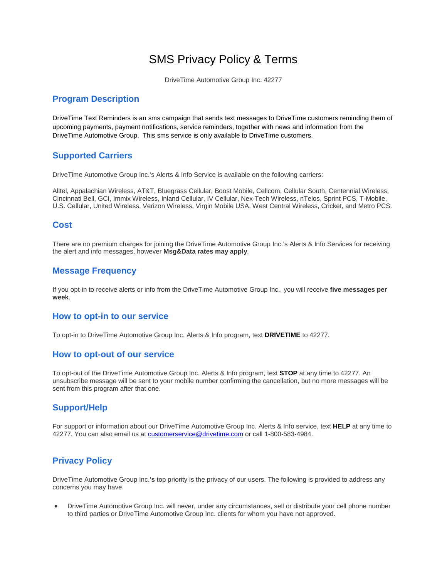# SMS Privacy Policy & Terms

DriveTime Automotive Group Inc. 42277

## **Program Description**

DriveTime Text Reminders is an sms campaign that sends text messages to DriveTime customers reminding them of upcoming payments, payment notifications, service reminders, together with news and information from the DriveTime Automotive Group. This sms service is only available to DriveTime customers.

## **Supported Carriers**

DriveTime Automotive Group Inc.'s Alerts & Info Service is available on the following carriers:

Alltel, Appalachian Wireless, AT&T, Bluegrass Cellular, Boost Mobile, Cellcom, Cellular South, Centennial Wireless, Cincinnati Bell, GCI, Immix Wireless, Inland Cellular, IV Cellular, Nex-Tech Wireless, nTelos, Sprint PCS, T-Mobile, U.S. Cellular, United Wireless, Verizon Wireless, Virgin Mobile USA, West Central Wireless, Cricket, and Metro PCS.

#### **Cost**

There are no premium charges for joining the DriveTime Automotive Group Inc.'s Alerts & Info Services for receiving the alert and info messages, however **Msg&Data rates may apply**.

## **Message Frequency**

If you opt-in to receive alerts or info from the DriveTime Automotive Group Inc., you will receive **five messages per week**.

#### **How to opt-in to our service**

To opt-in to DriveTime Automotive Group Inc. Alerts & Info program, text **DRIVETIME** to 42277.

#### **How to opt-out of our service**

To opt-out of the DriveTime Automotive Group Inc. Alerts & Info program, text **STOP** at any time to 42277. An unsubscribe message will be sent to your mobile number confirming the cancellation, but no more messages will be sent from this program after that one.

## **Support/Help**

For support or information about our DriveTime Automotive Group Inc. Alerts & Info service, text **HELP** at any time to 42277. You can also email us a[t customerservice@drivetime.com](mailto:customerservice@drivetime.com) or call 1-800-583-4984.

## **Privacy Policy**

DriveTime Automotive Group Inc.**'s** top priority is the privacy of our users. The following is provided to address any concerns you may have.

• DriveTime Automotive Group Inc. will never, under any circumstances, sell or distribute your cell phone number to third parties or DriveTime Automotive Group Inc. clients for whom you have not approved.